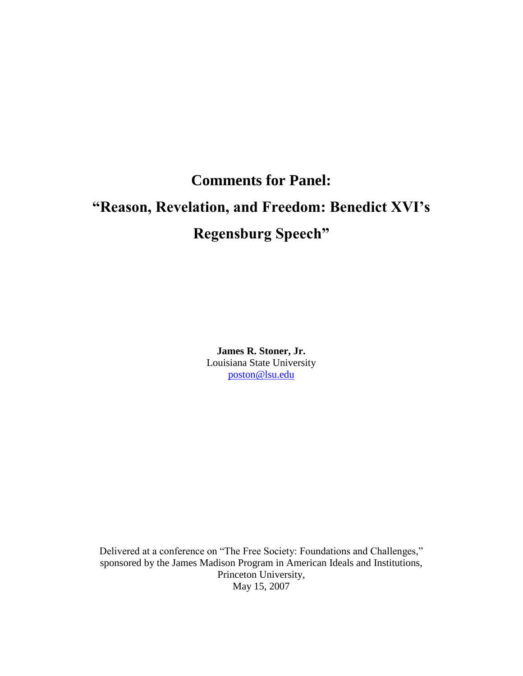## **Comments for Panel:** "Reason, Revelation, and Freedom: Benedict XVI's **Regensburg Speech"**

**James R. Stoner, Jr.** Louisiana State University poston@lsu.edu

Delivered at a conference on "The Free Society: Foundations and Challenges," sponsored by the James Madison Program in American Ideals and Institutions, Princeton University, May 15, 2007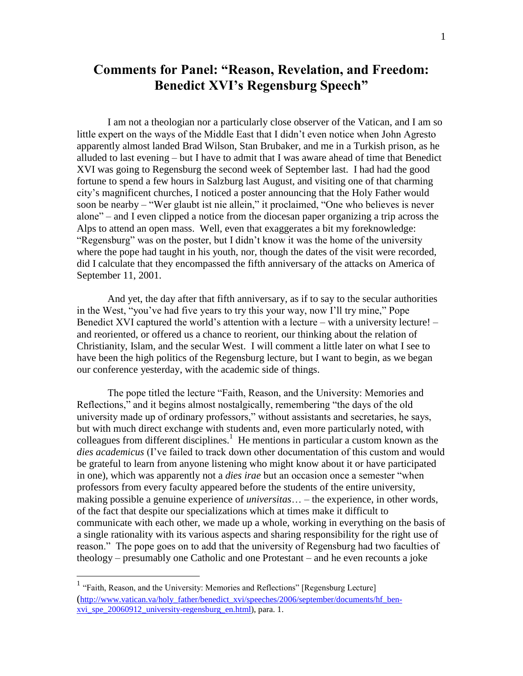## **Comments for Panel: "Reason, Revelation, and Freedom: Benedict XVI's Regensburg Speech"**

I am not a theologian nor a particularly close observer of the Vatican, and I am so little expert on the ways of the Middle East that I didn't even notice when John Agresto apparently almost landed Brad Wilson, Stan Brubaker, and me in a Turkish prison, as he alluded to last evening  $-$  but I have to admit that I was aware ahead of time that Benedict XVI was going to Regensburg the second week of September last. I had had the good fortune to spend a few hours in Salzburg last August, and visiting one of that charming city's magnificent churches, I noticed a poster announcing that the Holy Father would soon be nearby  $-$  "Wer glaubt ist nie allein," it proclaimed, "One who believes is never alone"–and I even clipped a notice from the diocesan paper organizing a trip across the Alps to attend an open mass. Well, even that exaggerates a bit my foreknowledge: "Regensburg" was on the poster, but I didn't know it was the home of the university where the pope had taught in his youth, nor, though the dates of the visit were recorded, did I calculate that they encompassed the fifth anniversary of the attacks on America of September 11, 2001.

And yet, the day after that fifth anniversary, as if to say to the secular authorities in the West, "you've had five years to try this your way, now I'll try mine," Pope Benedict XVI captured the world's attention with a lecture – with a university lecture! – and reoriented, or offered us a chance to reorient, our thinking about the relation of Christianity, Islam, and the secular West. I will comment a little later on what I see to have been the high politics of the Regensburg lecture, but I want to begin, as we began our conference yesterday, with the academic side of things.

The pope titled the lecture "Faith, Reason, and the University: Memories and Reflections," and it begins almost nostalgically, remembering "the days of the old university made up of ordinary professors," without assistants and secretaries, he says, but with much direct exchange with students and, even more particularly noted, with colleagues from different disciplines.<sup>1</sup> He mentions in particular a custom known as the *dies academicus* (I've failed to track down other documentation of this custom and would be grateful to learn from anyone listening who might know about it or have participated in one), which was apparently not a *dies irae* but an occasion once a semester "when professors from every faculty appeared before the students of the entire university, making possible a genuine experience of *universitas*... – the experience, in other words, of the fact that despite our specializations which at times make it difficult to communicate with each other, we made up a whole, working in everything on the basis of a single rationality with its various aspects and sharing responsibility for the right use of reason." The pope goes on to add that the university of Regensburg had two faculties of theology –presumably one Catholic and one Protestant –and he even recounts a joke

 $1$  "Faith, Reason, and the University: Memories and Reflections" [Regensburg Lecture] (http://www.vatican.va/holy\_father/benedict\_xvi/speeches/2006/september/documents/hf\_benxvi\_spe\_20060912\_university-regensburg\_en.html), para. 1.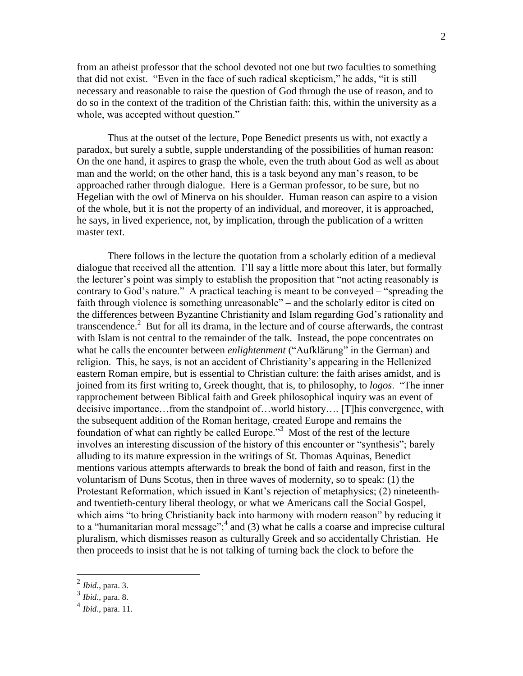from an atheist professor that the school devoted not one but two faculties to something that did not exist. "Even in the face of such radical skepticism," he adds, "it is still necessary and reasonable to raise the question of God through the use of reason, and to do so in the context of the tradition of the Christian faith: this, within the university as a whole, was accepted without question."

Thus at the outset of the lecture, Pope Benedict presents us with, not exactly a paradox, but surely a subtle, supple understanding of the possibilities of human reason: On the one hand, it aspires to grasp the whole, even the truth about God as well as about man and the world; on the other hand, this is a task beyond any man's reason, to be approached rather through dialogue. Here is a German professor, to be sure, but no Hegelian with the owl of Minerva on his shoulder. Human reason can aspire to a vision of the whole, but it is not the property of an individual, and moreover, it is approached, he says, in lived experience, not, by implication, through the publication of a written master text.

There follows in the lecture the quotation from a scholarly edition of a medieval dialogue that received all the attention. I'll say a little more about this later, but formally the lecturer's point was simply to establish the proposition that "not acting reasonably is contrary to God's nature." A practical teaching is meant to be conveyed – "spreading the faith through violence is something unreasonable" – and the scholarly editor is cited on the differences between Byzantine Christianity and Islam regarding God's rationality and transcendence.<sup>2</sup> But for all its drama, in the lecture and of course afterwards, the contrast with Islam is not central to the remainder of the talk. Instead, the pope concentrates on what he calls the encounter between *enlightenment* ("Aufklärung" in the German) and religion. This, he says, is not an accident of Christianity's appearing in the Hellenized eastern Roman empire, but is essential to Christian culture: the faith arises amidst, and is joined from its first writing to, Greek thought, that is, to philosophy, to *logos*. "The inner rapprochement between Biblical faith and Greek philosophical inquiry was an event of decisive importance…from the standpoint of…world history…. [T]his convergence, with the subsequent addition of the Roman heritage, created Europe and remains the foundation of what can rightly be called Europe."<sup>3</sup> Most of the rest of the lecture involves an interesting discussion of the history of this encounter or "synthesis"; barely alluding to its mature expression in the writings of St. Thomas Aquinas, Benedict mentions various attempts afterwards to break the bond of faith and reason, first in the voluntarism of Duns Scotus, then in three waves of modernity, so to speak: (1) the Protestant Reformation, which issued in Kant's rejection of metaphysics; (2) nineteenthand twentieth-century liberal theology, or what we Americans call the Social Gospel, which aims "to bring Christianity back into harmony with modern reason" by reducing it to a "humanitarian moral message"; $<sup>4</sup>$  and (3) what he calls a coarse and imprecise cultural</sup> pluralism, which dismisses reason as culturally Greek and so accidentally Christian. He then proceeds to insist that he is not talking of turning back the clock to before the

<sup>2</sup> *Ibid.*, para. 3.

<sup>3</sup> *Ibid.*, para. 8.

<sup>4</sup> *Ibid*., para. 11.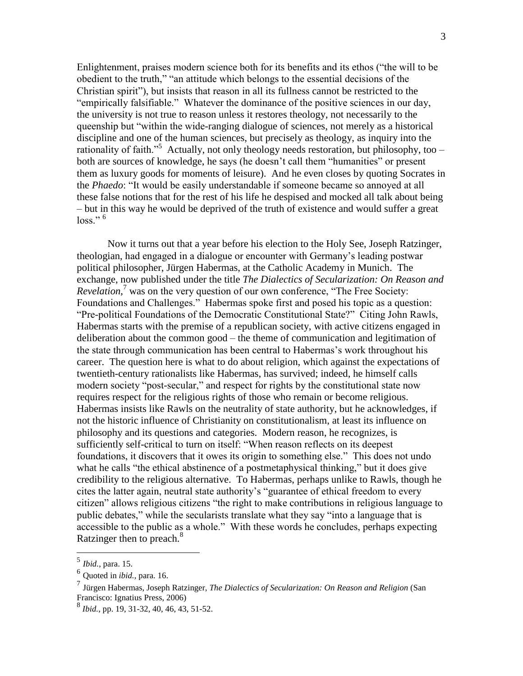Enlightenment, praises modern science both for its benefits and its ethos ("the will to be obedient to the truth," "an attitude which belongs to the essential decisions of the Christian spirit"), but insists that reason in all its fullness cannot be restricted to the "empirically falsifiable." Whatever the dominance of the positive sciences in our day, the university is not true to reason unless it restores theology, not necessarily to the queenship but "within the wide-ranging dialogue of sciences, not merely as a historical discipline and one of the human sciences, but precisely as theology, as inquiry into the rationality of faith."<sup>5</sup> Actually, not only theology needs restoration, but philosophy, too – both are sources of knowledge, he says (he doesn't call them "humanities" or present them as luxury goods for moments of leisure). And he even closes by quoting Socrates in the *Phaedo*: "It would be easily understandable if someone became so annoyed at all these false notions that for the rest of his life he despised and mocked all talk about being - but in this way he would be deprived of the truth of existence and would suffer a great  $loss.$ "<sup>6</sup>

Now it turns out that a year before his election to the Holy See, Joseph Ratzinger, theologian, had engaged in a dialogue or encounter with Germany's leading postwar political philosopher, Jürgen Habermas, at the Catholic Academy in Munich. The exchange, now published under the title *The Dialectics of Secularization: On Reason and Revelation*,<sup>7</sup> was on the very question of our own conference, "The Free Society: Foundations and Challenges." Habermas spoke first and posed his topic as a question: "Pre-political Foundations of the Democratic Constitutional State?" Citing John Rawls, Habermas starts with the premise of a republican society, with active citizens engaged in deliberation about the common good  $-$  the theme of communication and legitimation of the state through communication has been central to Habermas's work throughout his career. The question here is what to do about religion, which against the expectations of twentieth-century rationalists like Habermas, has survived; indeed, he himself calls modern society "post-secular," and respect for rights by the constitutional state now requires respect for the religious rights of those who remain or become religious. Habermas insists like Rawls on the neutrality of state authority, but he acknowledges, if not the historic influence of Christianity on constitutionalism, at least its influence on philosophy and its questions and categories. Modern reason, he recognizes, is sufficiently self-critical to turn on itself: "When reason reflects on its deepest foundations, it discovers that it owes its origin to something else." This does not undo what he calls "the ethical abstinence of a postmetaphysical thinking," but it does give credibility to the religious alternative. To Habermas, perhaps unlike to Rawls, though he cites the latter again, neutral state authority's "guarantee of ethical freedom to every citizen" allows religious citizens "the right to make contributions in religious language to public debates," while the secularists translate what they say "into a language that is accessible to the public as a whole." With these words he concludes, perhaps expecting Ratzinger then to preach.<sup>8</sup>

 $<sup>5</sup>$  *Ibid.*, para. 15.</sup>

 $6$  Quoted in *ibid.*, para. 16.

 $\overline{7}$  Jürgen Habermas, Joseph Ratzinger, The Dialectics of Secularization: On Reason and Religion (San Francisco: Ignatius Press, 2006)

 $^{8}$  *Ibid.*, pp. 19, 31-32, 40, 46, 43, 51-52.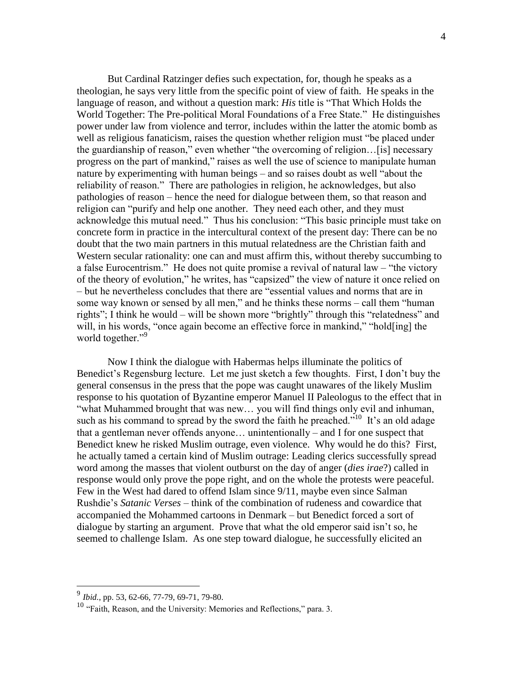But Cardinal Ratzinger defies such expectation, for, though he speaks as a theologian, he says very little from the specific point of view of faith. He speaks in the language of reason, and without a question mark: *His* title is "That Which Holds the World Together: The Pre-political Moral Foundations of a Free State." He distinguishes power under law from violence and terror, includes within the latter the atomic bomb as well as religious fanaticism, raises the question whether religion must "be placed under the guardianship of reason," even whether "the overcoming of religion...[is] necessary progress on the part of mankind," raises as well the use of science to manipulate human nature by experimenting with human beings – and so raises doubt as well "about the reliability of reason." There are pathologies in religion, he acknowledges, but also pathologies of reason – hence the need for dialogue between them, so that reason and religion can "purify and help one another. They need each other, and they must acknowledge this mutual need." Thus his conclusion: "This basic principle must take on concrete form in practice in the intercultural context of the present day: There can be no doubt that the two main partners in this mutual relatedness are the Christian faith and Western secular rationality: one can and must affirm this, without thereby succumbing to a false Eurocentrism." He does not quite promise a revival of natural law – "the victory" of the theory of evolution," he writes, has "capsized" the view of nature it once relied on - but he nevertheless concludes that there are "essential values and norms that are in some way known or sensed by all men," and he thinks these norms – call them "human" rights"; I think he would – will be shown more "brightly" through this "relatedness" and will, in his words, "once again become an effective force in mankind," "hold[ing] the world together."<sup>9</sup>

Now I think the dialogue with Habermas helps illuminate the politics of Benedict's Regensburg lecture. Let me just sketch a few thoughts. First, I don't buy the general consensus in the press that the pope was caught unawares of the likely Muslim response to his quotation of Byzantine emperor Manuel II Paleologus to the effect that in "what Muhammed brought that was new... you will find things only evil and inhuman, such as his command to spread by the sword the faith he preached."<sup>10</sup> It's an old adage that a gentleman never offends anyone... unintentionally – and I for one suspect that Benedict knew he risked Muslim outrage, even violence. Why would he do this? First, he actually tamed a certain kind of Muslim outrage: Leading clerics successfully spread word among the masses that violent outburst on the day of anger *(dies irae?)* called in response would only prove the pope right, and on the whole the protests were peaceful. Few in the West had dared to offend Islam since 9/11, maybe even since Salman Rushdie's Satanic Verses – think of the combination of rudeness and cowardice that accompanied the Mohammed cartoons in Denmark – but Benedict forced a sort of dialogue by starting an argument. Prove that what the old emperor said isn't so, he seemed to challenge Islam. As one step toward dialogue, he successfully elicited an

<sup>&</sup>lt;sup>9</sup> Ibid., pp. 53, 62-66, 77-79, 69-71, 79-80.

<sup>&</sup>lt;sup>10</sup> "Faith, Reason, and the University: Memories and Reflections," para. 3.